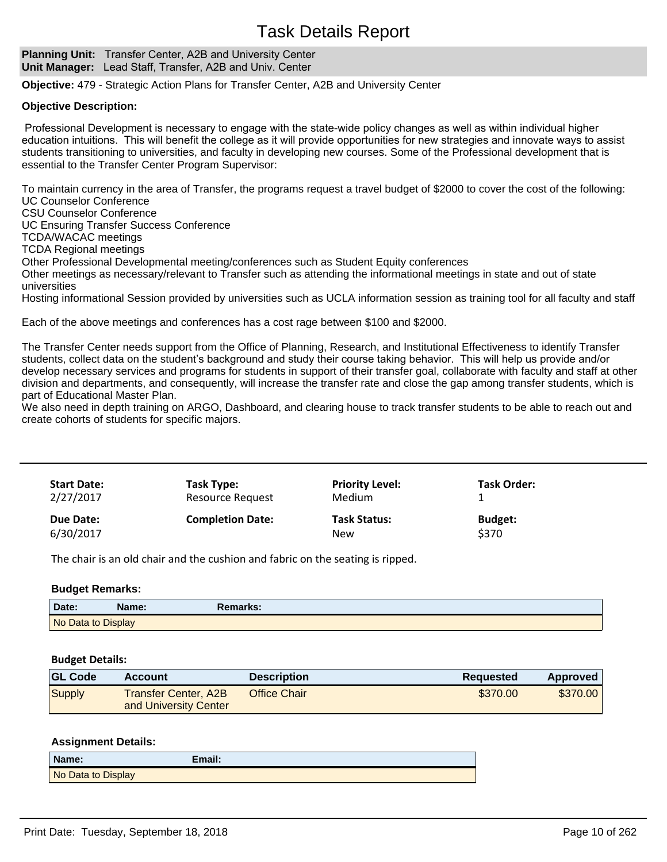# Task Details Report

**Planning Unit:** Transfer Center, A2B and University Center **Unit Manager:** Lead Staff, Transfer, A2B and Univ. Center

**Objective:** 479 - Strategic Action Plans for Transfer Center, A2B and University Center

#### **Objective Description:**

Professional Development is necessary to engage with the state-wide policy changes as well as within individual higher education intuitions. This will benefit the college as it will provide opportunities for new strategies and innovate ways to assist students transitioning to universities, and faculty in developing new courses. Some of the Professional development that is essential to the Transfer Center Program Supervisor:

To maintain currency in the area of Transfer, the programs request a travel budget of \$2000 to cover the cost of the following: UC Counselor Conference

CSU Counselor Conference

UC Ensuring Transfer Success Conference

TCDA/WACAC meetings

TCDA Regional meetings

Other Professional Developmental meeting/conferences such as Student Equity conferences

Other meetings as necessary/relevant to Transfer such as attending the informational meetings in state and out of state universities

Hosting informational Session provided by universities such as UCLA information session as training tool for all faculty and staff

Each of the above meetings and conferences has a cost rage between \$100 and \$2000.

The Transfer Center needs support from the Office of Planning, Research, and Institutional Effectiveness to identify Transfer students, collect data on the student's background and study their course taking behavior. This will help us provide and/or develop necessary services and programs for students in support of their transfer goal, collaborate with faculty and staff at other division and departments, and consequently, will increase the transfer rate and close the gap among transfer students, which is part of Educational Master Plan.

We also need in depth training on ARGO, Dashboard, and clearing house to track transfer students to be able to reach out and create cohorts of students for specific majors.

| <b>Start Date:</b> | Task Type:              | <b>Priority Level:</b> | Task Order:    |
|--------------------|-------------------------|------------------------|----------------|
| 2/27/2017          | Resource Request        | Medium                 |                |
| Due Date:          | <b>Completion Date:</b> | <b>Task Status:</b>    | <b>Budget:</b> |
| 6/30/2017          |                         | <b>New</b>             | \$370          |

The chair is an old chair and the cushion and fabric on the seating is ripped.

# **Budget Remarks:**

| Date:              | lame: | marks: |  |
|--------------------|-------|--------|--|
| No Data to Display |       |        |  |

#### **Budget Details:**

| <b>GL Code</b> | <b>Account</b>                                | <b>Description</b> | <b>Requested</b> | <b>Approved</b> |
|----------------|-----------------------------------------------|--------------------|------------------|-----------------|
| Supply         | Transfer Center, A2B<br>and University Center | Office Chair       | \$370.00         | \$370.00        |

#### **Assignment Details:**

| Name:              | Email: |
|--------------------|--------|
| No Data to Display |        |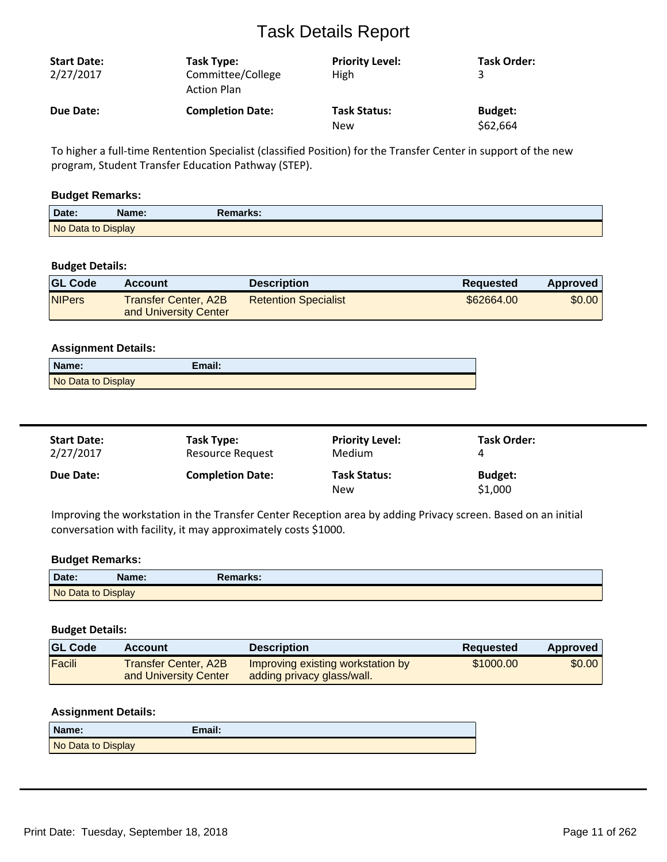# Task Details Report

| <b>Start Date:</b><br>2/27/2017 | Task Type:<br>Committee/College<br><b>Action Plan</b> | <b>Priority Level:</b><br>High | <b>Task Order:</b> |
|---------------------------------|-------------------------------------------------------|--------------------------------|--------------------|
| Due Date:                       | <b>Completion Date:</b>                               | <b>Task Status:</b>            | <b>Budget:</b>     |
|                                 |                                                       | New                            | \$62,664           |

To higher a full-time Rentention Specialist (classified Position) for the Transfer Center in support of the new program, Student Transfer Education Pathway (STEP).

### **Budget Remarks:**

| Date:              | Name: | Remarks: \ |  |
|--------------------|-------|------------|--|
| No Data to Display |       |            |  |

# **Budget Details:**

| <b>GL Code</b> | Account                                       | <b>Description</b>          | <b>Requested</b> | Approved |
|----------------|-----------------------------------------------|-----------------------------|------------------|----------|
| <b>NIPers</b>  | Transfer Center, A2B<br>and University Center | <b>Retention Specialist</b> | \$62664.00       | \$0.00   |

#### **Assignment Details:**

| Name:              | Email: |
|--------------------|--------|
| No Data to Display |        |

| <b>Start Date:</b> | Task Type:              | <b>Priority Level:</b>            | <b>Task Order:</b>        |
|--------------------|-------------------------|-----------------------------------|---------------------------|
| 2/27/2017          | Resource Request        | <b>Medium</b>                     |                           |
| <b>Due Date:</b>   | <b>Completion Date:</b> | <b>Task Status:</b><br><b>New</b> | <b>Budget:</b><br>\$1,000 |

Improving the workstation in the Transfer Center Reception area by adding Privacy screen. Based on an initial conversation with facility, it may approximately costs \$1000.

#### **Budget Remarks:**

| Date:              | Name: | Remarks: |  |
|--------------------|-------|----------|--|
| No Data to Display |       |          |  |

### **Budget Details:**

| <b>GL Code</b> | Account                                              | <b>Description</b>                                              | Reguested | <b>Approved</b> |
|----------------|------------------------------------------------------|-----------------------------------------------------------------|-----------|-----------------|
| Facili         | <b>Transfer Center, A2B</b><br>and University Center | Improving existing workstation by<br>adding privacy glass/wall. | \$1000.00 | \$0.00          |

# **Assignment Details:**

| Name:              | Email: |
|--------------------|--------|
| No Data to Display |        |